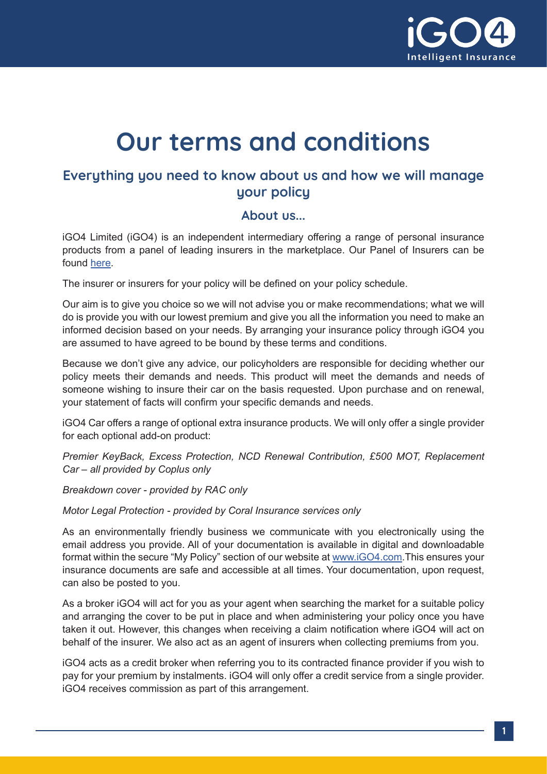

# **Our terms and conditions**

## **Everything you need to know about us and how we will manage your policy**

#### **About us...**

iGO4 Limited (iGO4) is an independent intermediary offering a range of personal insurance products from a panel of leading insurers in the marketplace. Our Panel of Insurers can be found [here.](https://help.igo4.com/hc/en-gb/articles/360003504132-Who-are-on-our-panel-of-Insurers)

The insurer or insurers for your policy will be defined on your policy schedule.

Our aim is to give you choice so we will not advise you or make recommendations; what we will do is provide you with our lowest premium and give you all the information you need to make an informed decision based on your needs. By arranging your insurance policy through iGO4 you are assumed to have agreed to be bound by these terms and conditions.

Because we don't give any advice, our policyholders are responsible for deciding whether our policy meets their demands and needs. This product will meet the demands and needs of someone wishing to insure their car on the basis requested. Upon purchase and on renewal, your statement of facts will confirm your specific demands and needs.

iGO4 Car offers a range of optional extra insurance products. We will only offer a single provider for each optional add-on product:

*Premier KeyBack, Excess Protection, NCD Renewal Contribution, £500 MOT, Replacement Car – all provided by Coplus only*

*Breakdown cover - provided by RAC only*

*Motor Legal Protection - provided by Coral Insurance services only* 

As an environmentally friendly business we communicate with you electronically using the email address you provide. All of your documentation is available in digital and downloadable format within the secure "My Policy" section of our website at [www.iGO4.com.](http://www.iGO4.com)This ensures your insurance documents are safe and accessible at all times. Your documentation, upon request, can also be posted to you.

As a broker iGO4 will act for you as your agent when searching the market for a suitable policy and arranging the cover to be put in place and when administering your policy once you have taken it out. However, this changes when receiving a claim notification where iGO4 will act on behalf of the insurer. We also act as an agent of insurers when collecting premiums from you.

iGO4 acts as a credit broker when referring you to its contracted finance provider if you wish to pay for your premium by instalments. iGO4 will only offer a credit service from a single provider. iGO4 receives commission as part of this arrangement.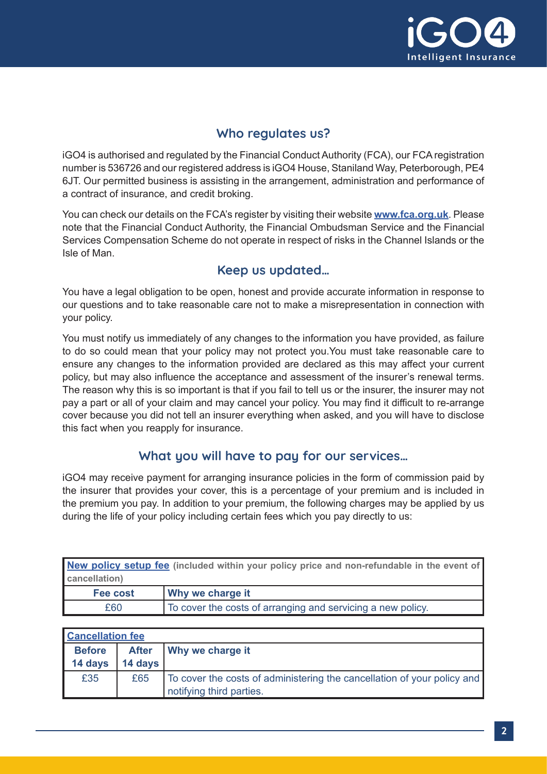

## **Who regulates us?**

iGO4 is authorised and regulated by the Financial Conduct Authority (FCA), our FCA registration number is 536726 and our registered address is iGO4 House, Staniland Way, Peterborough, PE4 6JT. Our permitted business is assisting in the arrangement, administration and performance of a contract of insurance, and credit broking.

You can check our details on the FCA's register by visiting their website **[www.fca.org.uk](http://www.fca.org.uk)**. Please note that the Financial Conduct Authority, the Financial Ombudsman Service and the Financial Services Compensation Scheme do not operate in respect of risks in the Channel Islands or the Isle of Man.

#### **Keep us updated…**

You have a legal obligation to be open, honest and provide accurate information in response to our questions and to take reasonable care not to make a misrepresentation in connection with your policy.

You must notify us immediately of any changes to the information you have provided, as failure to do so could mean that your policy may not protect you.You must take reasonable care to ensure any changes to the information provided are declared as this may affect your current policy, but may also influence the acceptance and assessment of the insurer's renewal terms. The reason why this is so important is that if you fail to tell us or the insurer, the insurer may not pay a part or all of your claim and may cancel your policy. You may find it difficult to re-arrange cover because you did not tell an insurer everything when asked, and you will have to disclose this fact when you reapply for insurance.

#### **What you will have to pay for our services…**

iGO4 may receive payment for arranging insurance policies in the form of commission paid by the insurer that provides your cover, this is a percentage of your premium and is included in the premium you pay. In addition to your premium, the following charges may be applied by us during the life of your policy including certain fees which you pay directly to us:

|               | New policy setup fee (included within your policy price and non-refundable in the event of |
|---------------|--------------------------------------------------------------------------------------------|
| cancellation) |                                                                                            |
| Fee cost      | <b>Why we charge it</b>                                                                    |

| I GG GUSL | <b>I</b> WILLY WE CHRIGE IT                                 |
|-----------|-------------------------------------------------------------|
| £60       | To cover the costs of arranging and servicing a new policy. |
|           |                                                             |

| <b>Cancellation fee</b> |              |                                                                                                     |
|-------------------------|--------------|-----------------------------------------------------------------------------------------------------|
| <b>Before</b>           | <b>After</b> | Why we charge it                                                                                    |
| 14 days                 | 14 days      |                                                                                                     |
| £35                     | £65          | To cover the costs of administering the cancellation of your policy and<br>notifying third parties. |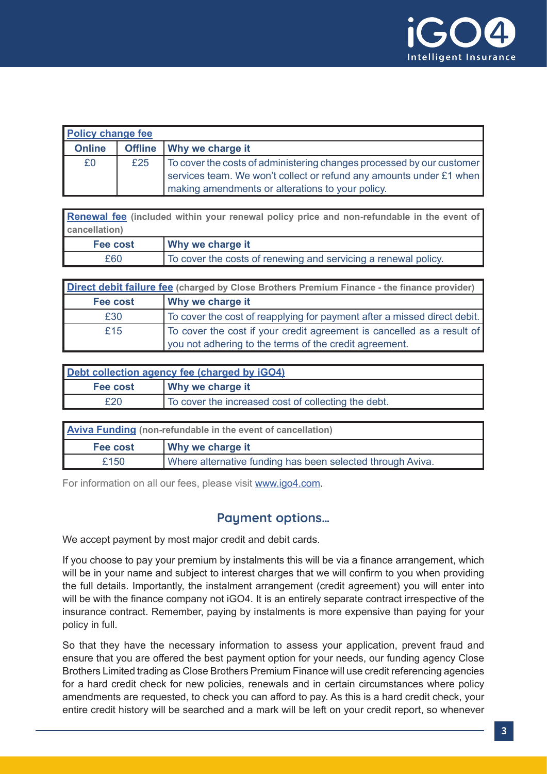

| <b>Policy change fee</b> |     |                                                                       |
|--------------------------|-----|-----------------------------------------------------------------------|
| <b>Online</b>            |     | Offline   Why we charge it                                            |
| £0                       | £25 | To cover the costs of administering changes processed by our customer |
|                          |     | services team. We won't collect or refund any amounts under £1 when   |
|                          |     | making amendments or alterations to your policy.                      |

**[Renewal fee](https://help.igo4.com/hc/en-gb/articles/360024376251) (included within your renewal policy price and non-refundable in the event of cancellation)**

| Fee cost | <b>Why we charge it</b>                                        |
|----------|----------------------------------------------------------------|
| £60      | To cover the costs of renewing and servicing a renewal policy. |

| Direct debit failure fee (charged by Close Brothers Premium Finance - the finance provider) |                                                                          |
|---------------------------------------------------------------------------------------------|--------------------------------------------------------------------------|
| Fee cost                                                                                    | <b>Why we charge it</b>                                                  |
| £30                                                                                         | To cover the cost of reapplying for payment after a missed direct debit. |
| £15                                                                                         | To cover the cost if your credit agreement is cancelled as a result of   |
|                                                                                             | you not adhering to the terms of the credit agreement.                   |

| Debt collection agency fee (charged by iGO4) |                                                     |
|----------------------------------------------|-----------------------------------------------------|
| Fee cost                                     | Why we charge it                                    |
| £20                                          | To cover the increased cost of collecting the debt. |

| <b>Aviva Funding</b> (non-refundable in the event of cancellation) |                                                            |
|--------------------------------------------------------------------|------------------------------------------------------------|
| Fee cost                                                           | <b>Why we charge it</b>                                    |
| £150                                                               | Where alternative funding has been selected through Aviva. |

For information on all our fees, please visit [www.igo4.com.](http://www.igo4.com)

#### **Payment options…**

We accept payment by most major credit and debit cards.

If you choose to pay your premium by instalments this will be via a finance arrangement, which will be in your name and subject to interest charges that we will confirm to you when providing the full details. Importantly, the instalment arrangement (credit agreement) you will enter into will be with the finance company not iGO4. It is an entirely separate contract irrespective of the insurance contract. Remember, paying by instalments is more expensive than paying for your policy in full.

So that they have the necessary information to assess your application, prevent fraud and ensure that you are offered the best payment option for your needs, our funding agency Close Brothers Limited trading as Close Brothers Premium Finance will use credit referencing agencies for a hard credit check for new policies, renewals and in certain circumstances where policy amendments are requested, to check you can afford to pay. As this is a hard credit check, your entire credit history will be searched and a mark will be left on your credit report, so whenever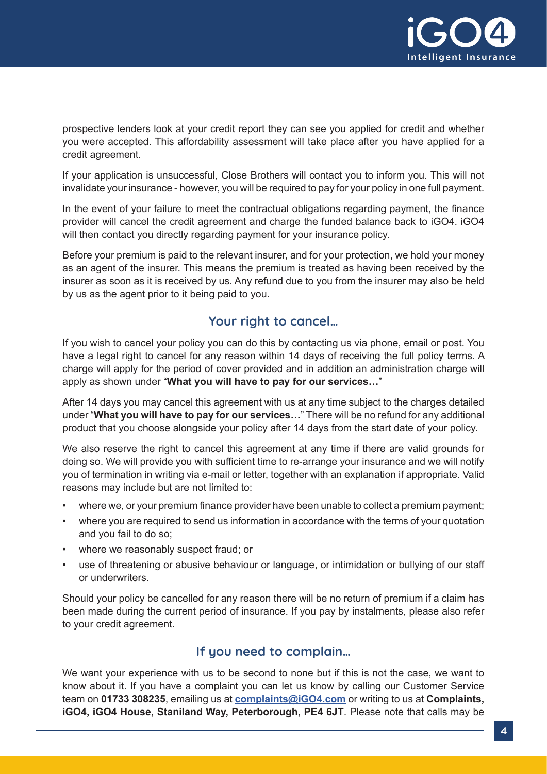

prospective lenders look at your credit report they can see you applied for credit and whether you were accepted. This affordability assessment will take place after you have applied for a credit agreement.

If your application is unsuccessful, Close Brothers will contact you to inform you. This will not invalidate your insurance - however, you will be required to pay for your policy in one full payment.

In the event of your failure to meet the contractual obligations regarding payment, the finance provider will cancel the credit agreement and charge the funded balance back to iGO4. iGO4 will then contact you directly regarding payment for your insurance policy.

Before your premium is paid to the relevant insurer, and for your protection, we hold your money as an agent of the insurer. This means the premium is treated as having been received by the insurer as soon as it is received by us. Any refund due to you from the insurer may also be held by us as the agent prior to it being paid to you.

#### **Your right to cancel…**

If you wish to cancel your policy you can do this by contacting us via phone, email or post. You have a legal right to cancel for any reason within 14 days of receiving the full policy terms. A charge will apply for the period of cover provided and in addition an administration charge will apply as shown under "**What you will have to pay for our services…**"

After 14 days you may cancel this agreement with us at any time subject to the charges detailed under "**What you will have to pay for our services…**" There will be no refund for any additional product that you choose alongside your policy after 14 days from the start date of your policy.

We also reserve the right to cancel this agreement at any time if there are valid grounds for doing so. We will provide you with sufficient time to re-arrange your insurance and we will notify you of termination in writing via e-mail or letter, together with an explanation if appropriate. Valid reasons may include but are not limited to:

- where we, or your premium finance provider have been unable to collect a premium payment;
- where you are required to send us information in accordance with the terms of your quotation and you fail to do so;
- where we reasonably suspect fraud; or
- use of threatening or abusive behaviour or language, or intimidation or bullying of our staff or underwriters.

Should your policy be cancelled for any reason there will be no return of premium if a claim has been made during the current period of insurance. If you pay by instalments, please also refer to your credit agreement.

#### **If you need to complain…**

We want your experience with us to be second to none but if this is not the case, we want to know about it. If you have a complaint you can let us know by calling our Customer Service team on **01733 308235**, emailing us at **[complaints@iGO4.com](http://complaints@iGO4.com)** or writing to us at **Complaints, iGO4, iGO4 House, Staniland Way, Peterborough, PE4 6JT**. Please note that calls may be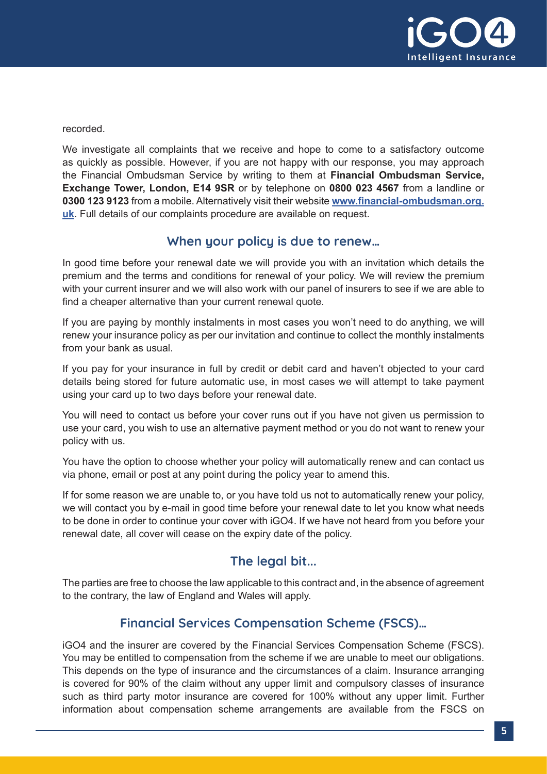

recorded.

We investigate all complaints that we receive and hope to come to a satisfactory outcome as quickly as possible. However, if you are not happy with our response, you may approach the Financial Ombudsman Service by writing to them at **Financial Ombudsman Service, Exchange Tower, London, E14 9SR** or by telephone on **0800 023 4567** from a landline or **0300 123 9123** from a mobile. Alternatively visit their website **[www.financial-ombudsman.org.](http://www.financial-ombudsman.org.uk) [uk](http://www.financial-ombudsman.org.uk)**. Full details of our complaints procedure are available on request.

#### **When your policy is due to renew…**

In good time before your renewal date we will provide you with an invitation which details the premium and the terms and conditions for renewal of your policy. We will review the premium with your current insurer and we will also work with our panel of insurers to see if we are able to find a cheaper alternative than your current renewal quote.

If you are paying by monthly instalments in most cases you won't need to do anything, we will renew your insurance policy as per our invitation and continue to collect the monthly instalments from your bank as usual.

If you pay for your insurance in full by credit or debit card and haven't objected to your card details being stored for future automatic use, in most cases we will attempt to take payment using your card up to two days before your renewal date.

You will need to contact us before your cover runs out if you have not given us permission to use your card, you wish to use an alternative payment method or you do not want to renew your policy with us.

You have the option to choose whether your policy will automatically renew and can contact us via phone, email or post at any point during the policy year to amend this.

If for some reason we are unable to, or you have told us not to automatically renew your policy, we will contact you by e-mail in good time before your renewal date to let you know what needs to be done in order to continue your cover with iGO4. If we have not heard from you before your renewal date, all cover will cease on the expiry date of the policy.

## **The legal bit...**

The parties are free to choose the law applicable to this contract and, in the absence of agreement to the contrary, the law of England and Wales will apply.

## **Financial Services Compensation Scheme (FSCS)…**

iGO4 and the insurer are covered by the Financial Services Compensation Scheme (FSCS). You may be entitled to compensation from the scheme if we are unable to meet our obligations. This depends on the type of insurance and the circumstances of a claim. Insurance arranging is covered for 90% of the claim without any upper limit and compulsory classes of insurance such as third party motor insurance are covered for 100% without any upper limit. Further information about compensation scheme arrangements are available from the FSCS on